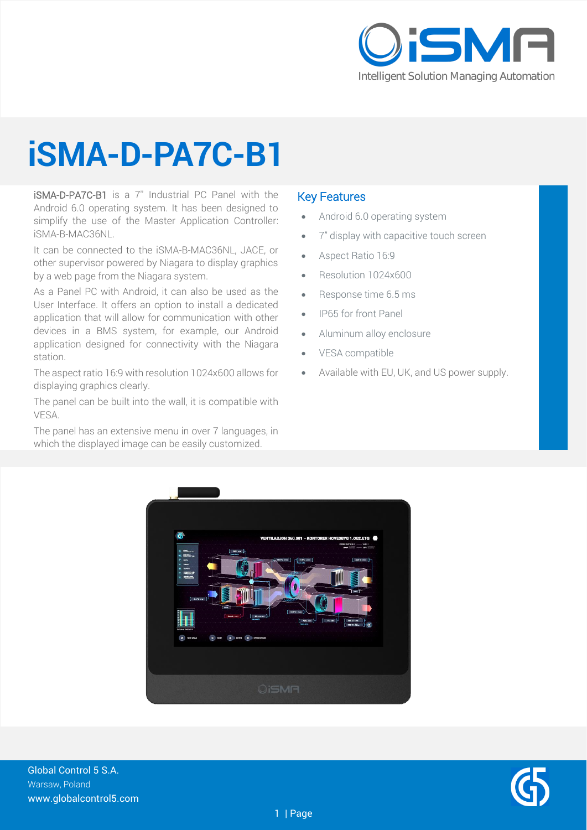

## **iSMA-D-PA7C-B1**

iSMA-D-PA7C-B1 is a 7'' Industrial PC Panel with the Android 6.0 operating system. It has been designed to simplify the use of the Master Application Controller: iSMA-B-MAC36NL.

It can be connected to the iSMA-B-MAC36NL, JACE, or other supervisor powered by Niagara to display graphics by a web page from the Niagara system.

As a Panel PC with Android, it can also be used as the User Interface. It offers an option to install a dedicated application that will allow for communication with other devices in a BMS system, for example, our Android application designed for connectivity with the Niagara station.

The aspect ratio 16:9 with resolution 1024x600 allows for displaying graphics clearly.

The panel can be built into the wall, it is compatible with VESA.

The panel has an extensive menu in over 7 languages, in which the displayed image can be easily customized.

#### Key Features

- Android 6.0 operating system
- 7" display with capacitive touch screen
- Aspect Ratio 16:9
- Resolution 1024x600
- Response time 6.5 ms
- IP65 for front Panel
- Aluminum alloy enclosure
- VESA compatible
- Available with EU, UK, and US power supply.